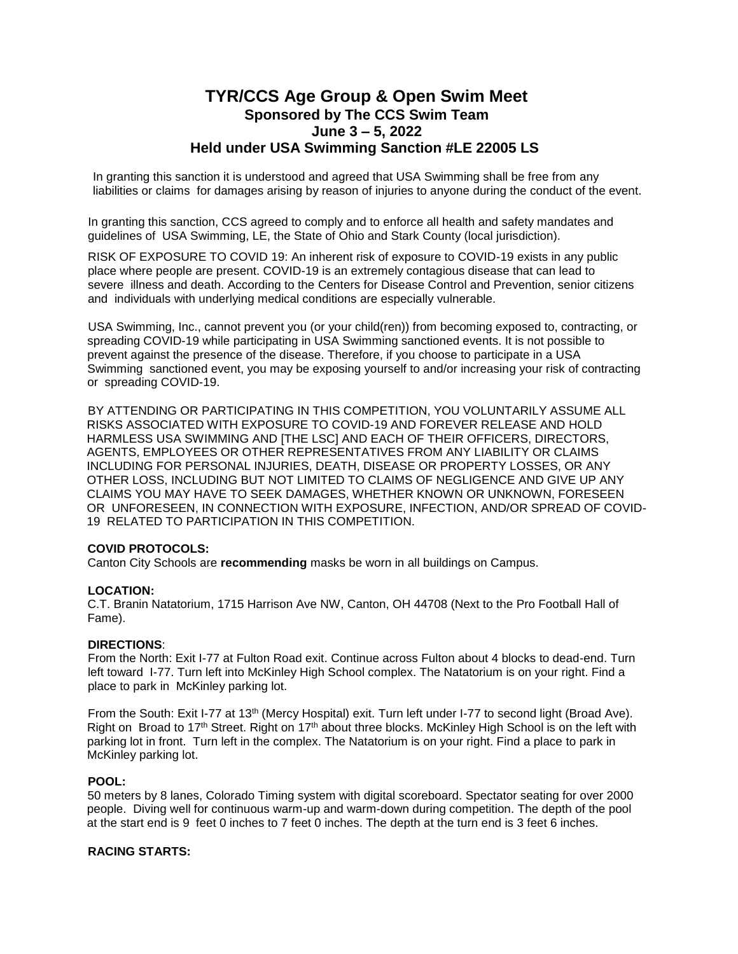# **TYR/CCS Age Group & Open Swim Meet Sponsored by The CCS Swim Team June 3 – 5, 2022 Held under USA Swimming Sanction #LE 22005 LS**

In granting this sanction it is understood and agreed that USA Swimming shall be free from any liabilities or claims for damages arising by reason of injuries to anyone during the conduct of the event.

In granting this sanction, CCS agreed to comply and to enforce all health and safety mandates and guidelines of USA Swimming, LE, the State of Ohio and Stark County (local jurisdiction).

RISK OF EXPOSURE TO COVID 19: An inherent risk of exposure to COVID-19 exists in any public place where people are present. COVID-19 is an extremely contagious disease that can lead to severe illness and death. According to the Centers for Disease Control and Prevention, senior citizens and individuals with underlying medical conditions are especially vulnerable.

USA Swimming, Inc., cannot prevent you (or your child(ren)) from becoming exposed to, contracting, or spreading COVID-19 while participating in USA Swimming sanctioned events. It is not possible to prevent against the presence of the disease. Therefore, if you choose to participate in a USA Swimming sanctioned event, you may be exposing yourself to and/or increasing your risk of contracting or spreading COVID-19.

BY ATTENDING OR PARTICIPATING IN THIS COMPETITION, YOU VOLUNTARILY ASSUME ALL RISKS ASSOCIATED WITH EXPOSURE TO COVID-19 AND FOREVER RELEASE AND HOLD HARMLESS USA SWIMMING AND [THE LSC] AND EACH OF THEIR OFFICERS, DIRECTORS, AGENTS, EMPLOYEES OR OTHER REPRESENTATIVES FROM ANY LIABILITY OR CLAIMS INCLUDING FOR PERSONAL INJURIES, DEATH, DISEASE OR PROPERTY LOSSES, OR ANY OTHER LOSS, INCLUDING BUT NOT LIMITED TO CLAIMS OF NEGLIGENCE AND GIVE UP ANY CLAIMS YOU MAY HAVE TO SEEK DAMAGES, WHETHER KNOWN OR UNKNOWN, FORESEEN OR UNFORESEEN, IN CONNECTION WITH EXPOSURE, INFECTION, AND/OR SPREAD OF COVID-19 RELATED TO PARTICIPATION IN THIS COMPETITION.

## **COVID PROTOCOLS:**

Canton City Schools are **recommending** masks be worn in all buildings on Campus.

## **LOCATION:**

C.T. Branin Natatorium, 1715 Harrison Ave NW, Canton, OH 44708 (Next to the Pro Football Hall of Fame).

# **DIRECTIONS**:

From the North: Exit I-77 at Fulton Road exit. Continue across Fulton about 4 blocks to dead-end. Turn left toward I-77. Turn left into McKinley High School complex. The Natatorium is on your right. Find a place to park in McKinley parking lot.

From the South: Exit I-77 at 13<sup>th</sup> (Mercy Hospital) exit. Turn left under I-77 to second light (Broad Ave). Right on Broad to 17<sup>th</sup> Street. Right on 17<sup>th</sup> about three blocks. McKinley High School is on the left with parking lot in front. Turn left in the complex. The Natatorium is on your right. Find a place to park in McKinley parking lot.

#### **POOL:**

50 meters by 8 lanes, Colorado Timing system with digital scoreboard. Spectator seating for over 2000 people. Diving well for continuous warm-up and warm-down during competition. The depth of the pool at the start end is 9 feet 0 inches to 7 feet 0 inches. The depth at the turn end is 3 feet 6 inches.

# **RACING STARTS:**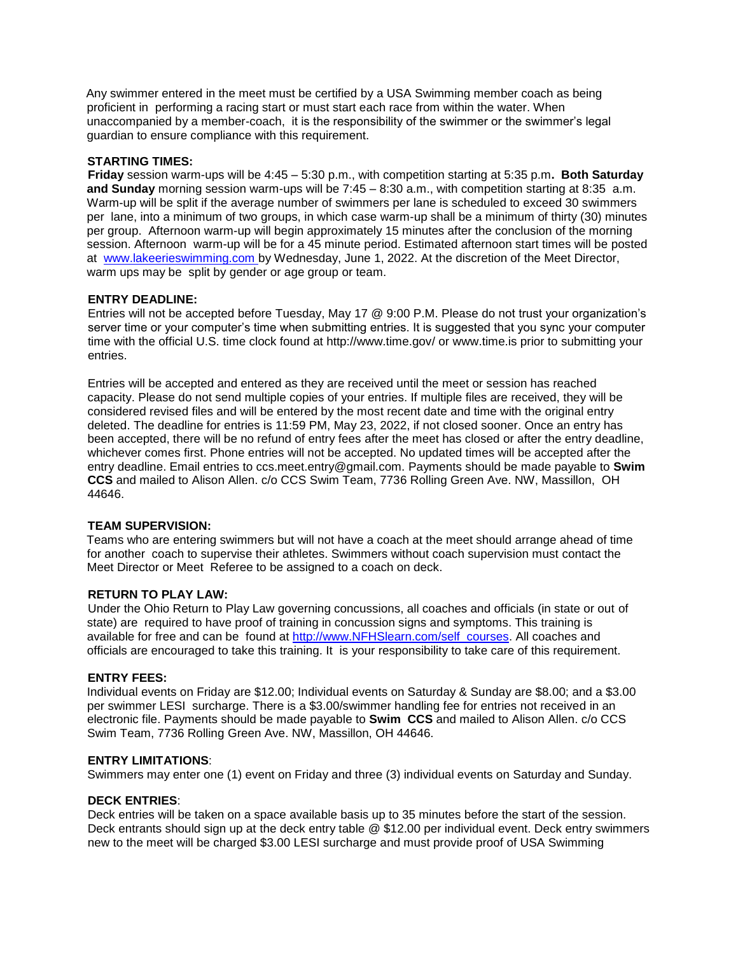Any swimmer entered in the meet must be certified by a USA Swimming member coach as being proficient in performing a racing start or must start each race from within the water. When unaccompanied by a member-coach, it is the responsibility of the swimmer or the swimmer's legal guardian to ensure compliance with this requirement.

# **STARTING TIMES:**

**Friday** session warm-ups will be 4:45 – 5:30 p.m., with competition starting at 5:35 p.m**. Both Saturday and Sunday** morning session warm-ups will be 7:45 – 8:30 a.m., with competition starting at 8:35 a.m. Warm-up will be split if the average number of swimmers per lane is scheduled to exceed 30 swimmers per lane, into a minimum of two groups, in which case warm-up shall be a minimum of thirty (30) minutes per group. Afternoon warm-up will begin approximately 15 minutes after the conclusion of the morning session. Afternoon warm-up will be for a 45 minute period. Estimated afternoon start times will be posted at www.lakeerieswimming.com by Wednesday, June 1, 2022. At the discretion of the Meet Director, warm ups may be split by gender or age group or team.

# **ENTRY DEADLINE:**

Entries will not be accepted before Tuesday, May 17 @ 9:00 P.M. Please do not trust your organization's server time or your computer's time when submitting entries. It is suggested that you sync your computer time with the official U.S. time clock found at http://www.time.gov/ or www.time.is prior to submitting your entries.

Entries will be accepted and entered as they are received until the meet or session has reached capacity. Please do not send multiple copies of your entries. If multiple files are received, they will be considered revised files and will be entered by the most recent date and time with the original entry deleted. The deadline for entries is 11:59 PM, May 23, 2022, if not closed sooner. Once an entry has been accepted, there will be no refund of entry fees after the meet has closed or after the entry deadline, whichever comes first. Phone entries will not be accepted. No updated times will be accepted after the entry deadline. Email entries to ccs.meet.entry@gmail.com. Payments should be made payable to **Swim CCS** and mailed to Alison Allen. c/o CCS Swim Team, 7736 Rolling Green Ave. NW, Massillon, OH 44646.

## **TEAM SUPERVISION:**

Teams who are entering swimmers but will not have a coach at the meet should arrange ahead of time for another coach to supervise their athletes. Swimmers without coach supervision must contact the Meet Director or Meet Referee to be assigned to a coach on deck.

## **RETURN TO PLAY LAW:**

Under the Ohio Return to Play Law governing concussions, all coaches and officials (in state or out of state) are required to have proof of training in concussion signs and symptoms. This training is available for free and can be found at http://www.NFHSlearn.com/self\_courses. All coaches and officials are encouraged to take this training. It is your responsibility to take care of this requirement.

## **ENTRY FEES:**

Individual events on Friday are \$12.00; Individual events on Saturday & Sunday are \$8.00; and a \$3.00 per swimmer LESI surcharge. There is a \$3.00/swimmer handling fee for entries not received in an electronic file. Payments should be made payable to **Swim CCS** and mailed to Alison Allen. c/o CCS Swim Team, 7736 Rolling Green Ave. NW, Massillon, OH 44646.

## **ENTRY LIMITATIONS**:

Swimmers may enter one (1) event on Friday and three (3) individual events on Saturday and Sunday.

## **DECK ENTRIES**:

Deck entries will be taken on a space available basis up to 35 minutes before the start of the session. Deck entrants should sign up at the deck entry table @ \$12.00 per individual event. Deck entry swimmers new to the meet will be charged \$3.00 LESI surcharge and must provide proof of USA Swimming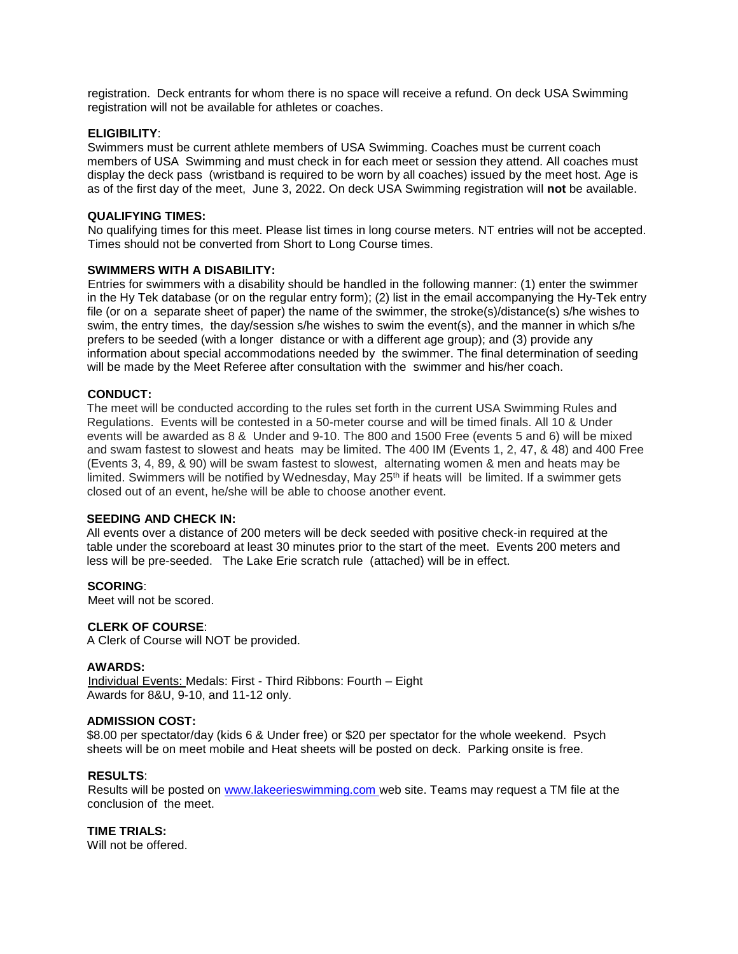registration. Deck entrants for whom there is no space will receive a refund. On deck USA Swimming registration will not be available for athletes or coaches.

### **ELIGIBILITY**:

Swimmers must be current athlete members of USA Swimming. Coaches must be current coach members of USA Swimming and must check in for each meet or session they attend. All coaches must display the deck pass (wristband is required to be worn by all coaches) issued by the meet host. Age is as of the first day of the meet, June 3, 2022. On deck USA Swimming registration will **not** be available.

#### **QUALIFYING TIMES:**

No qualifying times for this meet. Please list times in long course meters. NT entries will not be accepted. Times should not be converted from Short to Long Course times.

#### **SWIMMERS WITH A DISABILITY:**

Entries for swimmers with a disability should be handled in the following manner: (1) enter the swimmer in the Hy Tek database (or on the regular entry form); (2) list in the email accompanying the Hy-Tek entry file (or on a separate sheet of paper) the name of the swimmer, the stroke(s)/distance(s) s/he wishes to swim, the entry times, the day/session s/he wishes to swim the event(s), and the manner in which s/he prefers to be seeded (with a longer distance or with a different age group); and (3) provide any information about special accommodations needed by the swimmer. The final determination of seeding will be made by the Meet Referee after consultation with the swimmer and his/her coach.

#### **CONDUCT:**

The meet will be conducted according to the rules set forth in the current USA Swimming Rules and Regulations. Events will be contested in a 50-meter course and will be timed finals. All 10 & Under events will be awarded as 8 & Under and 9-10. The 800 and 1500 Free (events 5 and 6) will be mixed and swam fastest to slowest and heats may be limited. The 400 IM (Events 1, 2, 47, & 48) and 400 Free (Events 3, 4, 89, & 90) will be swam fastest to slowest, alternating women & men and heats may be limited. Swimmers will be notified by Wednesday, May 25<sup>th</sup> if heats will be limited. If a swimmer gets closed out of an event, he/she will be able to choose another event.

#### **SEEDING AND CHECK IN:**

All events over a distance of 200 meters will be deck seeded with positive check-in required at the table under the scoreboard at least 30 minutes prior to the start of the meet. Events 200 meters and less will be pre-seeded. The Lake Erie scratch rule (attached) will be in effect.

#### **SCORING**:

Meet will not be scored.

## **CLERK OF COURSE**:

A Clerk of Course will NOT be provided.

#### **AWARDS:**

Individual Events: Medals: First - Third Ribbons: Fourth – Eight Awards for 8&U, 9-10, and 11-12 only.

## **ADMISSION COST:**

\$8.00 per spectator/day (kids 6 & Under free) or \$20 per spectator for the whole weekend. Psych sheets will be on meet mobile and Heat sheets will be posted on deck. Parking onsite is free.

## **RESULTS**:

Results will be posted on www.lakeerieswimming.com web site. Teams may request a TM file at the conclusion of the meet.

#### **TIME TRIALS:**

Will not be offered.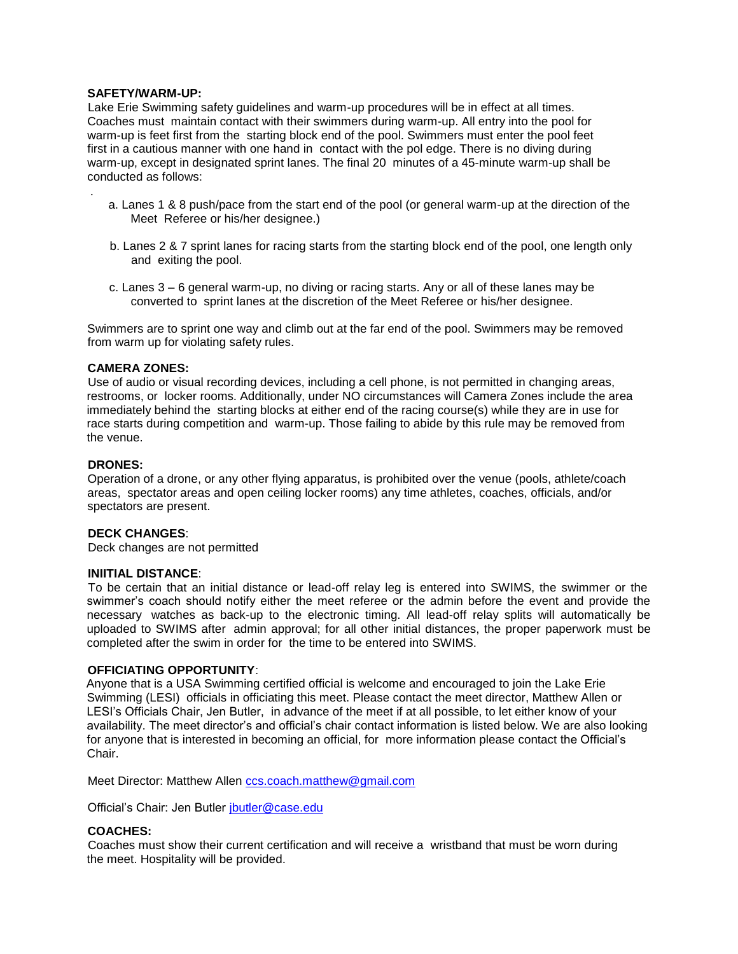## **SAFETY/WARM-UP:**

.

Lake Erie Swimming safety guidelines and warm-up procedures will be in effect at all times. Coaches must maintain contact with their swimmers during warm-up. All entry into the pool for warm-up is feet first from the starting block end of the pool. Swimmers must enter the pool feet first in a cautious manner with one hand in contact with the pol edge. There is no diving during warm-up, except in designated sprint lanes. The final 20 minutes of a 45-minute warm-up shall be conducted as follows:

- a. Lanes 1 & 8 push/pace from the start end of the pool (or general warm-up at the direction of the Meet Referee or his/her designee.)
- b. Lanes 2 & 7 sprint lanes for racing starts from the starting block end of the pool, one length only and exiting the pool.
- c. Lanes 3 6 general warm-up, no diving or racing starts. Any or all of these lanes may be converted to sprint lanes at the discretion of the Meet Referee or his/her designee.

Swimmers are to sprint one way and climb out at the far end of the pool. Swimmers may be removed from warm up for violating safety rules.

#### **CAMERA ZONES:**

Use of audio or visual recording devices, including a cell phone, is not permitted in changing areas, restrooms, or locker rooms. Additionally, under NO circumstances will Camera Zones include the area immediately behind the starting blocks at either end of the racing course(s) while they are in use for race starts during competition and warm-up. Those failing to abide by this rule may be removed from the venue.

#### **DRONES:**

Operation of a drone, or any other flying apparatus, is prohibited over the venue (pools, athlete/coach areas, spectator areas and open ceiling locker rooms) any time athletes, coaches, officials, and/or spectators are present.

#### **DECK CHANGES**:

Deck changes are not permitted

#### **INIITIAL DISTANCE**:

To be certain that an initial distance or lead-off relay leg is entered into SWIMS, the swimmer or the swimmer's coach should notify either the meet referee or the admin before the event and provide the necessary watches as back-up to the electronic timing. All lead-off relay splits will automatically be uploaded to SWIMS after admin approval; for all other initial distances, the proper paperwork must be completed after the swim in order for the time to be entered into SWIMS.

### **OFFICIATING OPPORTUNITY**:

Anyone that is a USA Swimming certified official is welcome and encouraged to join the Lake Erie Swimming (LESI) officials in officiating this meet. Please contact the meet director, Matthew Allen or LESI's Officials Chair, Jen Butler, in advance of the meet if at all possible, to let either know of your availability. The meet director's and official's chair contact information is listed below. We are also looking for anyone that is interested in becoming an official, for more information please contact the Official's Chair.

Meet Director: Matthew Allen ccs.coach.matthew@gmail.com

Official's Chair: Jen Butler jbutler@case.edu

#### **COACHES:**

Coaches must show their current certification and will receive a wristband that must be worn during the meet. Hospitality will be provided.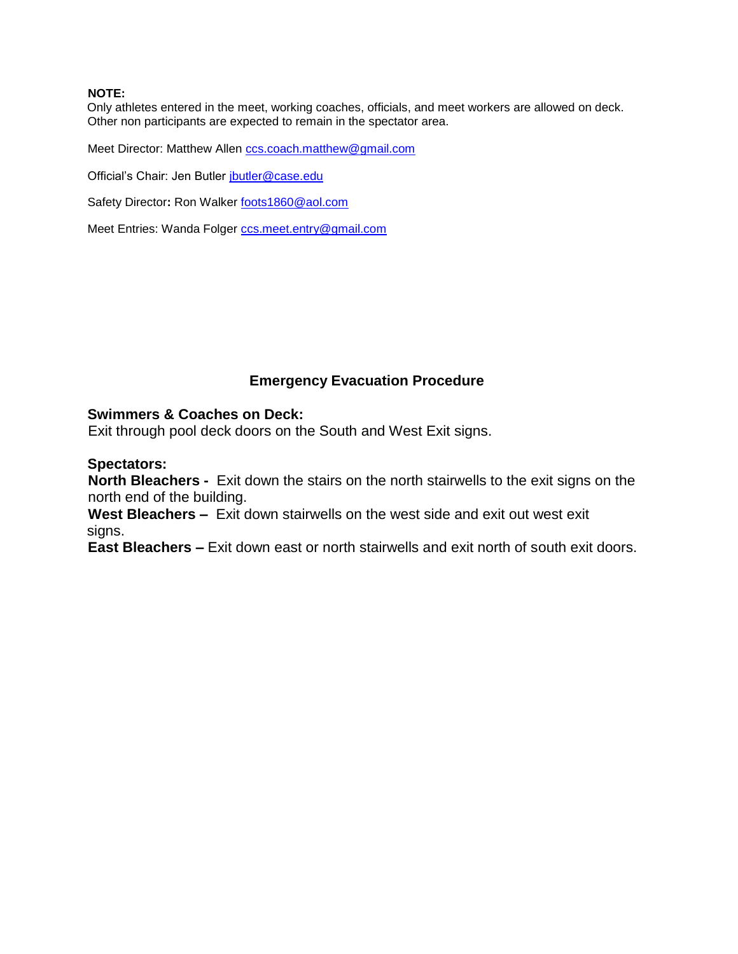# **NOTE:**

Only athletes entered in the meet, working coaches, officials, and meet workers are allowed on deck. Other non participants are expected to remain in the spectator area.

Meet Director: Matthew Allen ccs.coach.matthew@gmail.com

Official's Chair: Jen Butler jbutler@case.edu

Safety Director: Ron Walker **foots1860@aol.com** 

Meet Entries: Wanda Folger ccs.meet.entry@gmail.com

# **Emergency Evacuation Procedure**

# **Swimmers & Coaches on Deck:**

Exit through pool deck doors on the South and West Exit signs.

# **Spectators:**

**North Bleachers -** Exit down the stairs on the north stairwells to the exit signs on the north end of the building.

**West Bleachers –** Exit down stairwells on the west side and exit out west exit signs.

**East Bleachers –** Exit down east or north stairwells and exit north of south exit doors.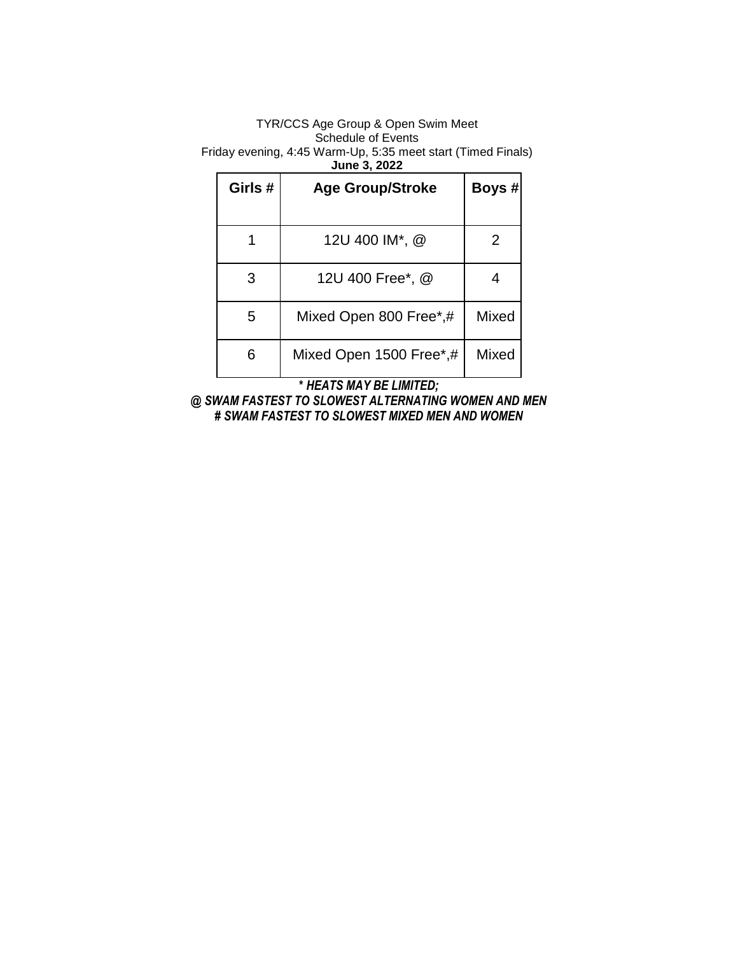# TYR/CCS Age Group & Open Swim Meet Schedule of Events

Friday evening, 4:45 Warm-Up, 5:35 meet start (Timed Finals)

**June 3, 2022**

| Girls # | <b>Age Group/Stroke</b> | Boys # |
|---------|-------------------------|--------|
|         | 12U 400 IM*, @          | 2      |
| 3       | 12U 400 Free*, @        |        |
| 5       | Mixed Open 800 Free*,#  | Mixed  |
| 6       | Mixed Open 1500 Free*,# | Mixed  |

**\*** *HEATS MAY BE LIMITED;*

*@ SWAM FASTEST TO SLOWEST ALTERNATING WOMEN AND MEN # SWAM FASTEST TO SLOWEST MIXED MEN AND WOMEN*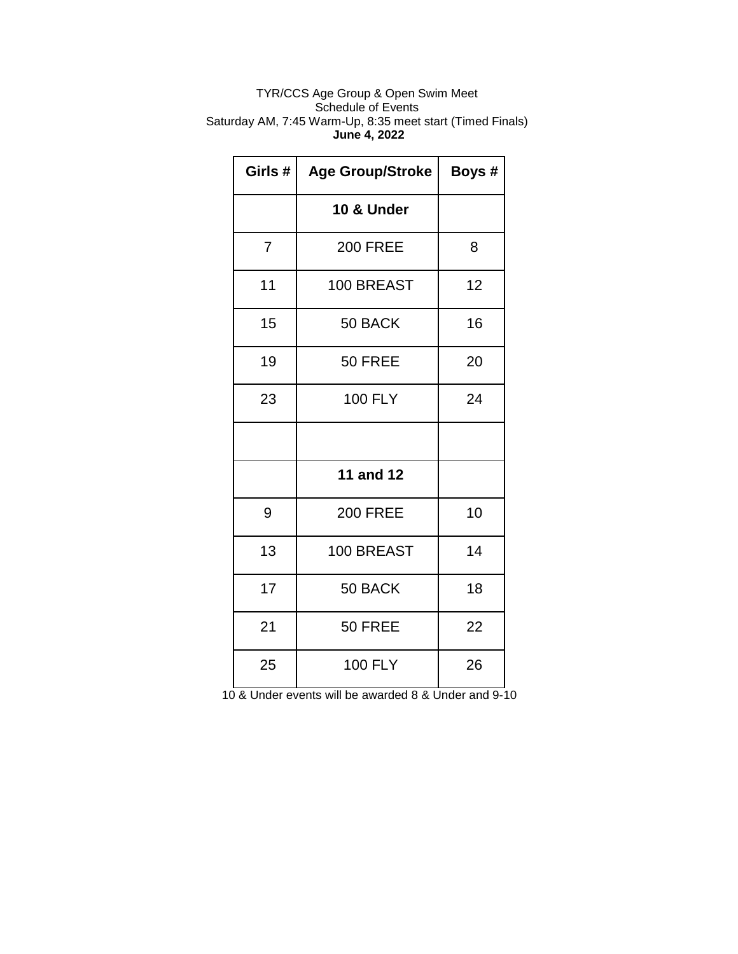# TYR/CCS Age Group & Open Swim Meet Schedule of Events Saturday AM, 7:45 Warm-Up, 8:35 meet start (Timed Finals) **June 4, 2022**

| Girls # | <b>Age Group/Stroke</b> | Boys # |
|---------|-------------------------|--------|
|         | 10 & Under              |        |
| 7       | <b>200 FREE</b>         | 8      |
| 11      | 100 BREAST              | 12     |
| 15      | 50 BACK                 | 16     |
| 19      | 50 FREE                 | 20     |
| 23      | <b>100 FLY</b>          | 24     |
|         |                         |        |
|         | 11 and 12               |        |
| 9       | <b>200 FREE</b>         | 10     |
| 13      | 100 BREAST              | 14     |
| 17      | 50 BACK                 | 18     |
| 21      | 50 FREE                 | 22     |
| 25      | <b>100 FLY</b>          | 26     |

10 & Under events will be awarded 8 & Under and 9-10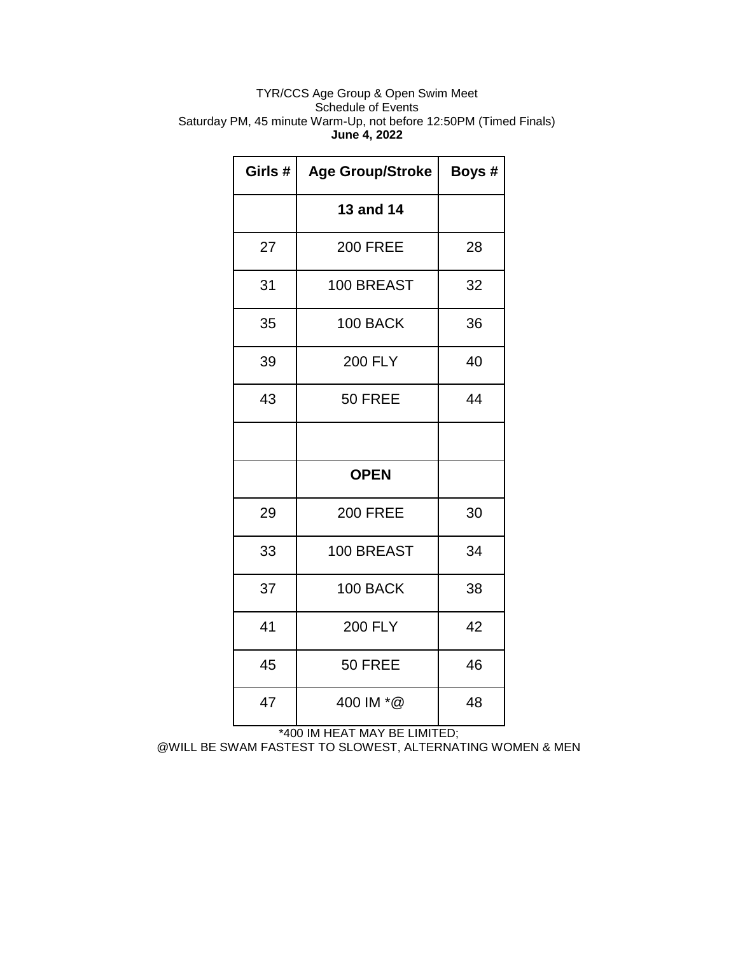# TYR/CCS Age Group & Open Swim Meet Schedule of Events Saturday PM, 45 minute Warm-Up, not before 12:50PM (Timed Finals) **June 4, 2022**

| Girls # | <b>Age Group/Stroke</b> | Boys # |
|---------|-------------------------|--------|
|         | 13 and 14               |        |
| 27      | <b>200 FREE</b>         | 28     |
| 31      | 100 BREAST              | 32     |
| 35      | 100 BACK                | 36     |
| 39      | <b>200 FLY</b>          | 40     |
| 43      | 50 FREE                 | 44     |
|         |                         |        |
|         | <b>OPEN</b>             |        |
| 29      | <b>200 FREE</b>         | 30     |
| 33      | 100 BREAST              | 34     |
| 37      | 100 BACK                | 38     |
| 41      | <b>200 FLY</b>          | 42     |
| 45      | 50 FREE                 | 46     |
| 47      | 400 IM *@               | 48     |

\*400 IM HEAT MAY BE LIMITED;

@WILL BE SWAM FASTEST TO SLOWEST, ALTERNATING WOMEN & MEN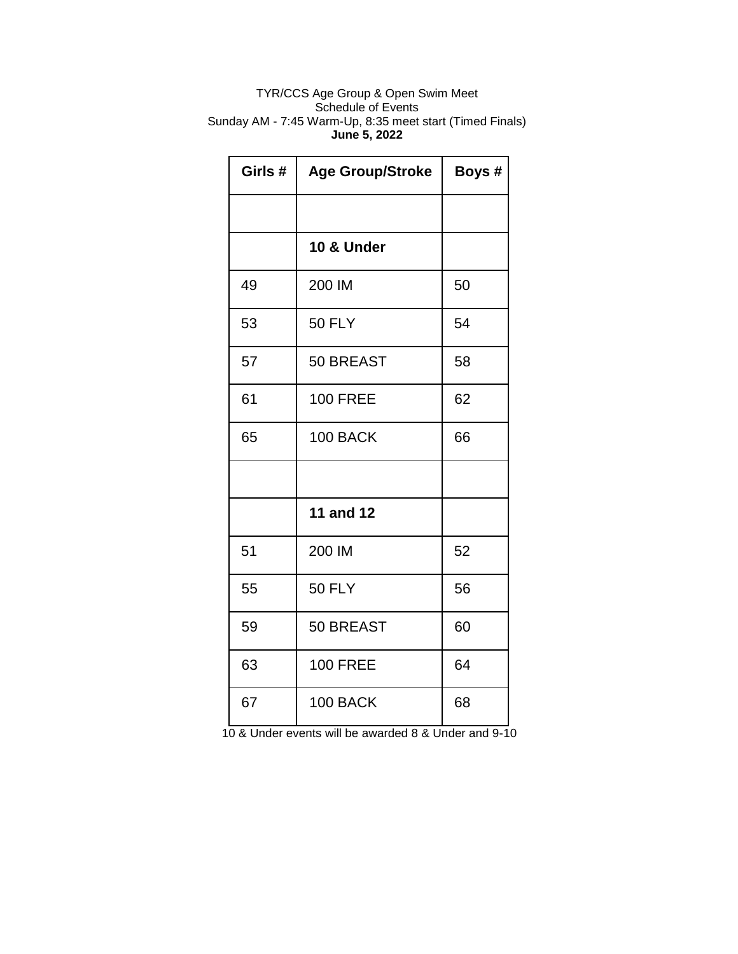# TYR/CCS Age Group & Open Swim Meet Schedule of Events Sunday AM - 7:45 Warm-Up, 8:35 meet start (Timed Finals) **June 5, 2022**

| Girls# | <b>Age Group/Stroke</b> | Boys # |
|--------|-------------------------|--------|
|        |                         |        |
|        | 10 & Under              |        |
| 49     | 200 IM                  | 50     |
| 53     | <b>50 FLY</b>           | 54     |
| 57     | 50 BREAST               | 58     |
| 61     | <b>100 FREE</b>         | 62     |
| 65     | 100 BACK                | 66     |
|        |                         |        |
|        | <b>11 and 12</b>        |        |
| 51     | 200 IM                  | 52     |
| 55     | <b>50 FLY</b>           | 56     |
| 59     | 50 BREAST               | 60     |
| 63     | <b>100 FREE</b>         | 64     |
| 67     | 100 BACK                | 68     |

10 & Under events will be awarded 8 & Under and 9-10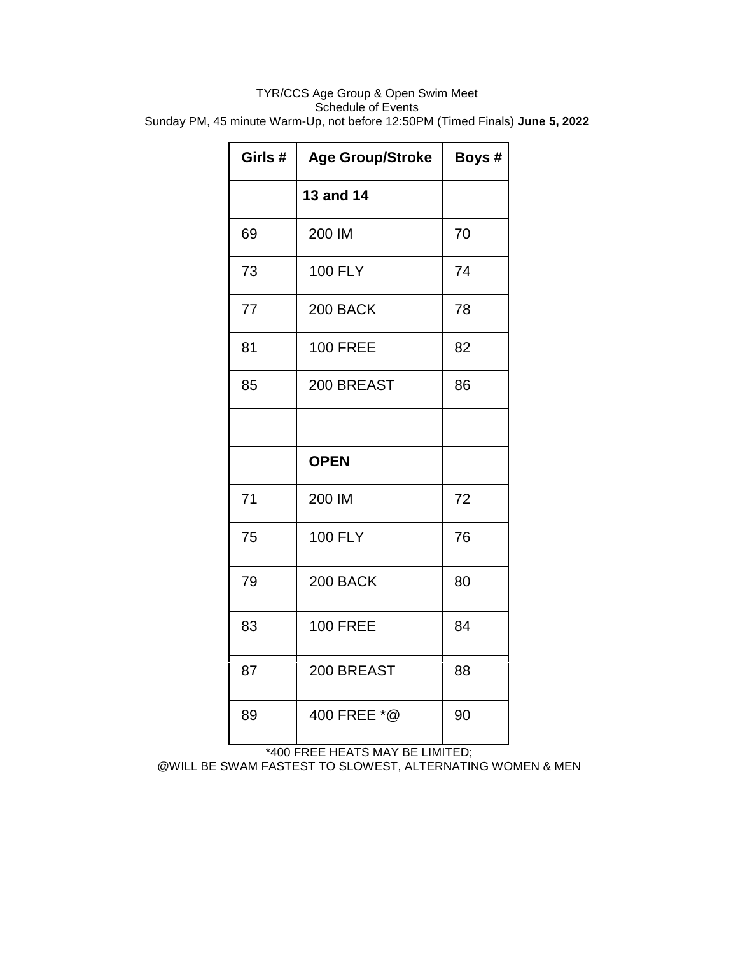# TYR/CCS Age Group & Open Swim Meet Schedule of Events Sunday PM, 45 minute Warm-Up, not before 12:50PM (Timed Finals) **June 5, 2022**

| Girls# | <b>Age Group/Stroke</b> | Boys # |
|--------|-------------------------|--------|
|        | 13 and 14               |        |
| 69     | 200 IM                  | 70     |
| 73     | <b>100 FLY</b>          | 74     |
| 77     | 200 BACK                | 78     |
| 81     | <b>100 FREE</b>         | 82     |
| 85     | 200 BREAST              | 86     |
|        |                         |        |
|        | <b>OPEN</b>             |        |
| 71     | 200 IM                  | 72     |
| 75     | <b>100 FLY</b>          | 76     |
| 79     | 200 BACK                | 80     |
| 83     | <b>100 FREE</b>         | 84     |
| 87     | 200 BREAST              | 88     |
| 89     | 400 FREE *@             | 90     |

\*400 FREE HEATS MAY BE LIMITED;

@WILL BE SWAM FASTEST TO SLOWEST, ALTERNATING WOMEN & MEN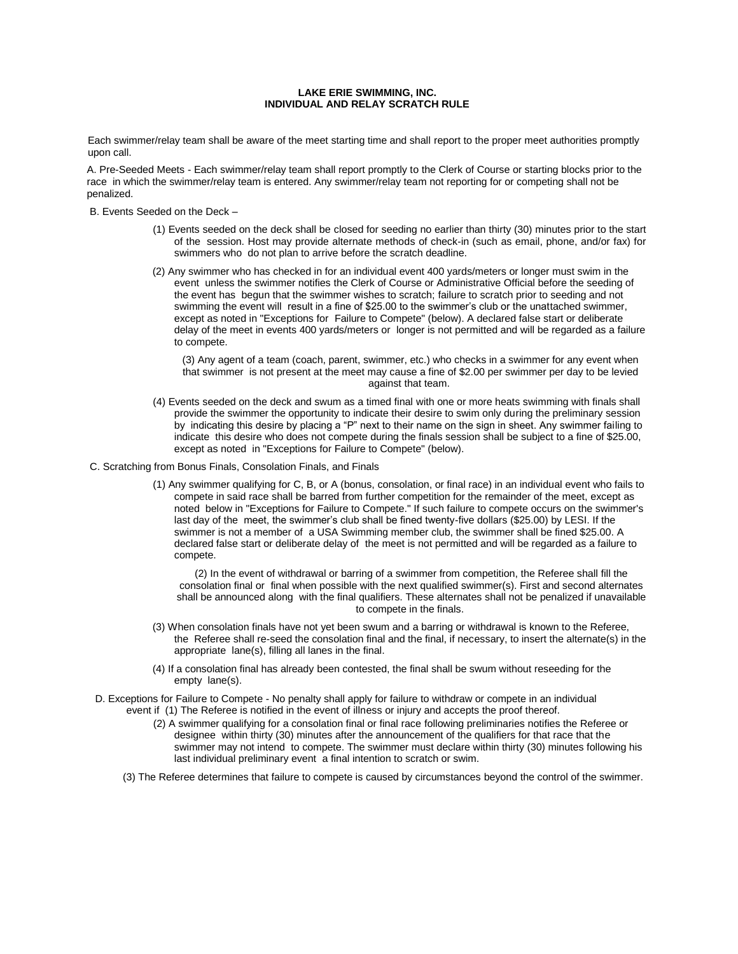#### **LAKE ERIE SWIMMING, INC. INDIVIDUAL AND RELAY SCRATCH RULE**

Each swimmer/relay team shall be aware of the meet starting time and shall report to the proper meet authorities promptly upon call.

A. Pre-Seeded Meets - Each swimmer/relay team shall report promptly to the Clerk of Course or starting blocks prior to the race in which the swimmer/relay team is entered. Any swimmer/relay team not reporting for or competing shall not be penalized.

B. Events Seeded on the Deck –

- (1) Events seeded on the deck shall be closed for seeding no earlier than thirty (30) minutes prior to the start of the session. Host may provide alternate methods of check-in (such as email, phone, and/or fax) for swimmers who do not plan to arrive before the scratch deadline.
- (2) Any swimmer who has checked in for an individual event 400 yards/meters or longer must swim in the event unless the swimmer notifies the Clerk of Course or Administrative Official before the seeding of the event has begun that the swimmer wishes to scratch; failure to scratch prior to seeding and not swimming the event will result in a fine of \$25.00 to the swimmer's club or the unattached swimmer, except as noted in "Exceptions for Failure to Compete" (below). A declared false start or deliberate delay of the meet in events 400 yards/meters or longer is not permitted and will be regarded as a failure to compete.

(3) Any agent of a team (coach, parent, swimmer, etc.) who checks in a swimmer for any event when that swimmer is not present at the meet may cause a fine of \$2.00 per swimmer per day to be levied against that team.

- (4) Events seeded on the deck and swum as a timed final with one or more heats swimming with finals shall provide the swimmer the opportunity to indicate their desire to swim only during the preliminary session by indicating this desire by placing a "P" next to their name on the sign in sheet. Any swimmer failing to indicate this desire who does not compete during the finals session shall be subject to a fine of \$25.00, except as noted in "Exceptions for Failure to Compete" (below).
- C. Scratching from Bonus Finals, Consolation Finals, and Finals
	- (1) Any swimmer qualifying for C, B, or A (bonus, consolation, or final race) in an individual event who fails to compete in said race shall be barred from further competition for the remainder of the meet, except as noted below in "Exceptions for Failure to Compete." If such failure to compete occurs on the swimmer's last day of the meet, the swimmer's club shall be fined twenty-five dollars (\$25.00) by LESI. If the swimmer is not a member of a USA Swimming member club, the swimmer shall be fined \$25.00. A declared false start or deliberate delay of the meet is not permitted and will be regarded as a failure to compete.

(2) In the event of withdrawal or barring of a swimmer from competition, the Referee shall fill the consolation final or final when possible with the next qualified swimmer(s). First and second alternates shall be announced along with the final qualifiers. These alternates shall not be penalized if unavailable to compete in the finals.

- (3) When consolation finals have not yet been swum and a barring or withdrawal is known to the Referee, the Referee shall re-seed the consolation final and the final, if necessary, to insert the alternate(s) in the appropriate lane(s), filling all lanes in the final.
- (4) If a consolation final has already been contested, the final shall be swum without reseeding for the empty lane(s).
- D. Exceptions for Failure to Compete No penalty shall apply for failure to withdraw or compete in an individual event if (1) The Referee is notified in the event of illness or injury and accepts the proof thereof.
	- (2) A swimmer qualifying for a consolation final or final race following preliminaries notifies the Referee or designee within thirty (30) minutes after the announcement of the qualifiers for that race that the swimmer may not intend to compete. The swimmer must declare within thirty (30) minutes following his last individual preliminary event a final intention to scratch or swim.
	- (3) The Referee determines that failure to compete is caused by circumstances beyond the control of the swimmer.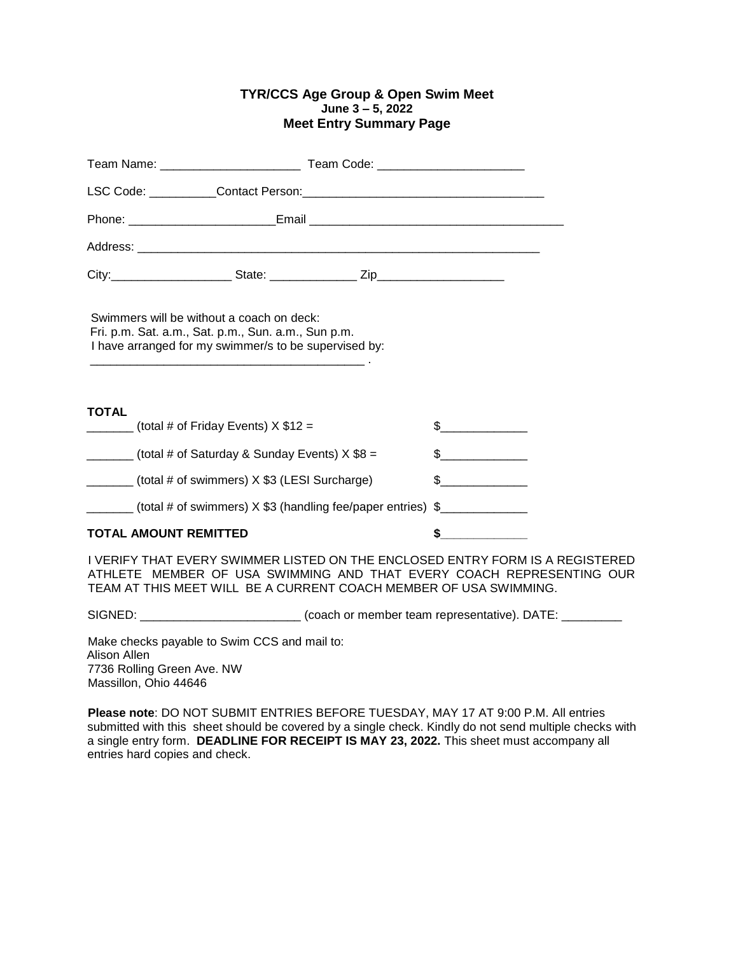# **TYR/CCS Age Group & Open Swim Meet June 3 – 5, 2022 Meet Entry Summary Page**

| Team Code: ____________________________                                                                                                                   |               |
|-----------------------------------------------------------------------------------------------------------------------------------------------------------|---------------|
|                                                                                                                                                           |               |
|                                                                                                                                                           |               |
|                                                                                                                                                           |               |
|                                                                                                                                                           |               |
| Swimmers will be without a coach on deck:<br>Fri. p.m. Sat. a.m., Sat. p.m., Sun. a.m., Sun p.m.<br>I have arranged for my swimmer/s to be supervised by: |               |
| <b>TOTAL</b><br>(total # of Friday Events) $X $12 =$                                                                                                      | $\sim$ $\sim$ |
| $\frac{1}{1}$ (total # of Saturday & Sunday Events) X \$8 =                                                                                               | $\frac{1}{2}$ |
| ________ (total # of swimmers) X \$3 (LESI Surcharge)                                                                                                     | $\frac{1}{2}$ |
| (total # of swimmers) X \$3 (handling fee/paper entries) \$                                                                                               |               |
| <b>TOTAL AMOUNT REMITTED</b>                                                                                                                              | \$            |
| I VEDIEV TUAT EVEDV OMIMAED LIGTED ON THE ENOLOGED ENTRY FORM IG A REQIST                                                                                 |               |

I VERIFY THAT EVERY SWIMMER LISTED ON THE ENCLOSED ENTRY FORM IS A REGISTERED ATHLETE MEMBER OF USA SWIMMING AND THAT EVERY COACH REPRESENTING OUR TEAM AT THIS MEET WILL BE A CURRENT COACH MEMBER OF USA SWIMMING.

SIGNED: \_\_\_\_\_\_\_\_\_\_\_\_\_\_\_\_\_\_\_\_\_\_\_\_\_\_\_\_\_\_(coach or member team representative). DATE: \_\_\_\_\_\_\_\_\_\_

Make checks payable to Swim CCS and mail to: Alison Allen 7736 Rolling Green Ave. NW Massillon, Ohio 44646

**Please note**: DO NOT SUBMIT ENTRIES BEFORE TUESDAY, MAY 17 AT 9:00 P.M. All entries submitted with this sheet should be covered by a single check. Kindly do not send multiple checks with a single entry form. **DEADLINE FOR RECEIPT IS MAY 23, 2022.** This sheet must accompany all entries hard copies and check.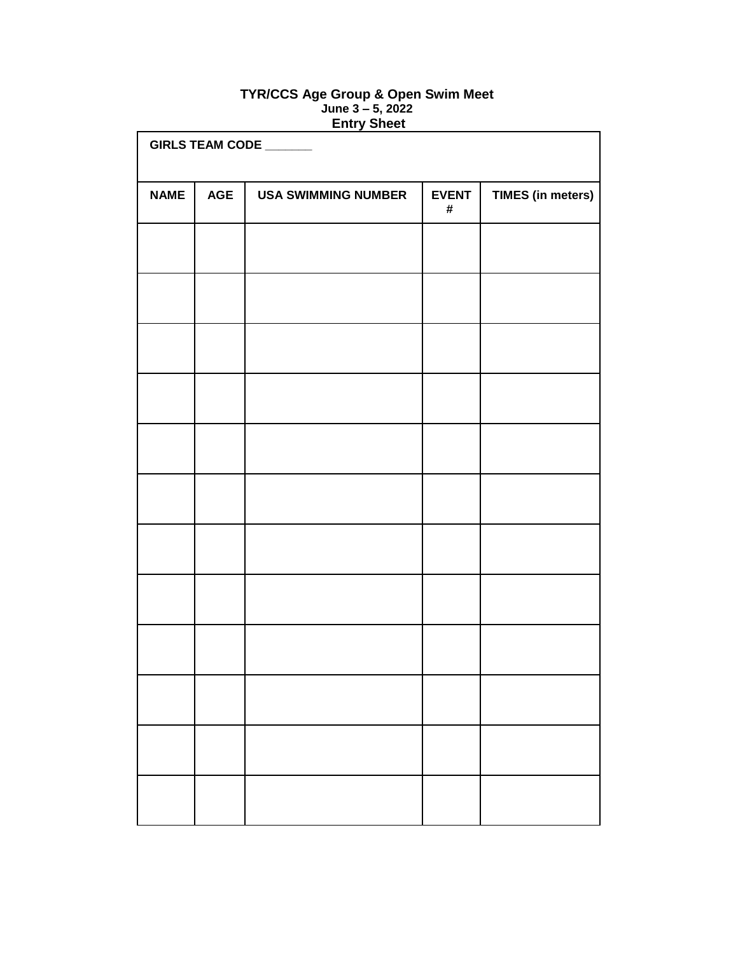# **TYR/CCS Age Group & Open Swim Meet June 3 – 5, 2022 Entry Sheet**

| GIRLS TEAM CODE ______ |            |                            |                   |                          |
|------------------------|------------|----------------------------|-------------------|--------------------------|
| <b>NAME</b>            | <b>AGE</b> | <b>USA SWIMMING NUMBER</b> | <b>EVENT</b><br># | <b>TIMES (in meters)</b> |
|                        |            |                            |                   |                          |
|                        |            |                            |                   |                          |
|                        |            |                            |                   |                          |
|                        |            |                            |                   |                          |
|                        |            |                            |                   |                          |
|                        |            |                            |                   |                          |
|                        |            |                            |                   |                          |
|                        |            |                            |                   |                          |
|                        |            |                            |                   |                          |
|                        |            |                            |                   |                          |
|                        |            |                            |                   |                          |
|                        |            |                            |                   |                          |